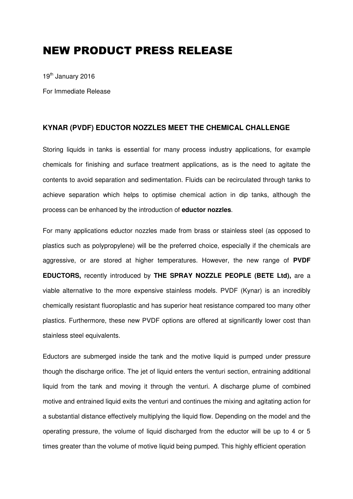## NEW PRODUCT PRESS RELEASE

19th January 2016

For Immediate Release

## **KYNAR (PVDF) EDUCTOR NOZZLES MEET THE CHEMICAL CHALLENGE**

Storing liquids in tanks is essential for many process industry applications, for example chemicals for finishing and surface treatment applications, as is the need to agitate the contents to avoid separation and sedimentation. Fluids can be recirculated through tanks to achieve separation which helps to optimise chemical action in dip tanks, although the process can be enhanced by the introduction of **eductor nozzles**.

For many applications eductor nozzles made from brass or stainless steel (as opposed to plastics such as polypropylene) will be the preferred choice, especially if the chemicals are aggressive, or are stored at higher temperatures. However, the new range of **PVDF EDUCTORS,** recently introduced by **THE SPRAY NOZZLE PEOPLE (BETE Ltd),** are a viable alternative to the more expensive stainless models. PVDF (Kynar) is an incredibly chemically resistant fluoroplastic and has superior heat resistance compared too many other plastics. Furthermore, these new PVDF options are offered at significantly lower cost than stainless steel equivalents.

Eductors are submerged inside the tank and the motive liquid is pumped under pressure though the discharge orifice. The jet of liquid enters the venturi section, entraining additional liquid from the tank and moving it through the venturi. A discharge plume of combined motive and entrained liquid exits the venturi and continues the mixing and agitating action for a substantial distance effectively multiplying the liquid flow. Depending on the model and the operating pressure, the volume of liquid discharged from the eductor will be up to 4 or 5 times greater than the volume of motive liquid being pumped. This highly efficient operation